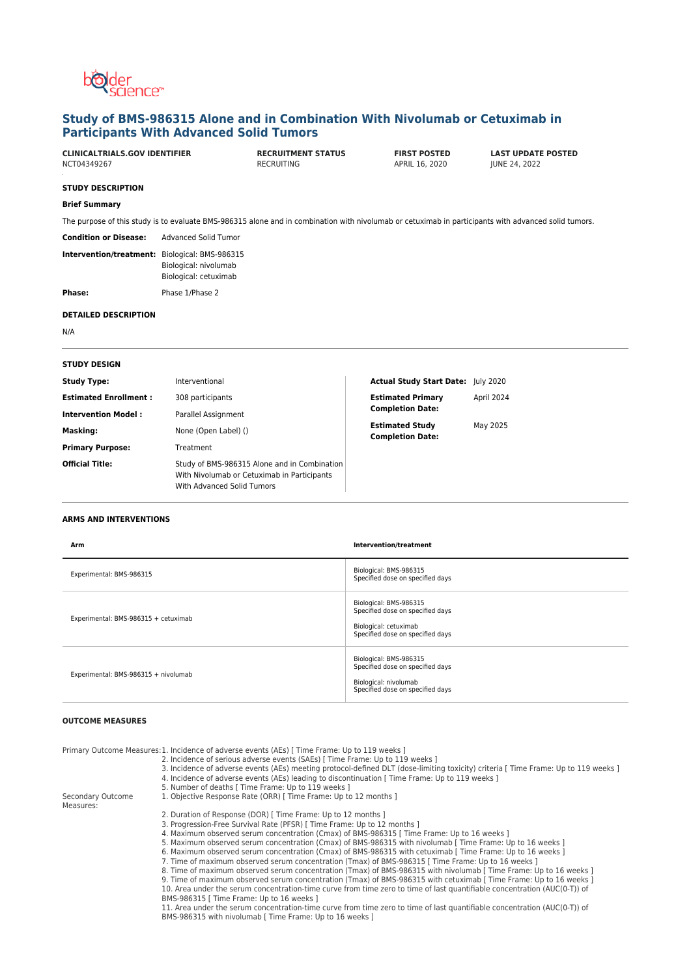

# **Study of BMS-986315 Alone and in Combination With Nivolumab or Cetuximab in Participants With Advanced Solid Tumors**

APRIL 16, 2020

**CLINICALTRIALS.GOV IDENTIFIER RECRUITMENT STATUS FIRST POSTED LAST UPDATE POSTED**

## **STUDY DESCRIPTION**

## **Brief Summary**

The purpose of this study is to evaluate BMS-986315 alone and in combination with nivolumab or cetuximab in participants with advanced solid tumors.

**Condition or Disease:** Advanced Solid Tumor **Intervention/treatment:** Biological: BMS-986315

|  | Biological: nivolumab |
|--|-----------------------|
|  | Biological: cetuximab |
|  |                       |

Phase: Phase 1/Phase 2

### **DETAILED DESCRIPTION**

N/A

| <b>STUDY DESIGN</b>          |                                                                                                                           |                                                   |            |
|------------------------------|---------------------------------------------------------------------------------------------------------------------------|---------------------------------------------------|------------|
| <b>Study Type:</b>           | Interventional                                                                                                            | <b>Actual Study Start Date: July 2020</b>         |            |
| <b>Estimated Enrollment:</b> | 308 participants                                                                                                          | <b>Estimated Primary</b>                          | April 2024 |
| <b>Intervention Model:</b>   | Parallel Assignment                                                                                                       | <b>Completion Date:</b>                           |            |
| Masking:                     | None (Open Label) ()                                                                                                      | <b>Estimated Study</b><br><b>Completion Date:</b> | May 2025   |
| <b>Primary Purpose:</b>      | Treatment                                                                                                                 |                                                   |            |
| <b>Official Title:</b>       | Study of BMS-986315 Alone and in Combination<br>With Nivolumab or Cetuximab in Participants<br>With Advanced Solid Tumors |                                                   |            |

## **ARMS AND INTERVENTIONS**

| Arm                                  | Intervention/treatment                                                                                                  |
|--------------------------------------|-------------------------------------------------------------------------------------------------------------------------|
| Experimental: BMS-986315             | Biological: BMS-986315<br>Specified dose on specified days                                                              |
| Experimental: BMS-986315 + cetuximab | Biological: BMS-986315<br>Specified dose on specified days<br>Biological: cetuximab<br>Specified dose on specified days |
| Experimental: BMS-986315 + nivolumab | Biological: BMS-986315<br>Specified dose on specified days<br>Biological: nivolumab<br>Specified dose on specified days |

# **OUTCOME MEASURES**

| 2. Incidence of serious adverse events (SAEs) [Time Frame: Up to 119 weeks ]<br>3. Incidence of adverse events (AEs) meeting protocol-defined DLT (dose-limiting toxicity) criteria [ Time Frame: Up to 119 weeks ]<br>4. Incidence of adverse events (AEs) leading to discontinuation [Time Frame: Up to 119 weeks ]<br>5. Number of deaths [ Time Frame: Up to 119 weeks ] |
|------------------------------------------------------------------------------------------------------------------------------------------------------------------------------------------------------------------------------------------------------------------------------------------------------------------------------------------------------------------------------|
|                                                                                                                                                                                                                                                                                                                                                                              |
|                                                                                                                                                                                                                                                                                                                                                                              |
|                                                                                                                                                                                                                                                                                                                                                                              |
|                                                                                                                                                                                                                                                                                                                                                                              |
| 1. Objective Response Rate (ORR) [ Time Frame: Up to 12 months ]                                                                                                                                                                                                                                                                                                             |
| 2. Duration of Response (DOR) [ Time Frame: Up to 12 months ]                                                                                                                                                                                                                                                                                                                |
| 3. Progression-Free Survival Rate (PFSR) [ Time Frame: Up to 12 months ]                                                                                                                                                                                                                                                                                                     |
| 4. Maximum observed serum concentration (Cmax) of BMS-986315 [Time Frame: Up to 16 weeks ]                                                                                                                                                                                                                                                                                   |
| 5. Maximum observed serum concentration (Cmax) of BMS-986315 with nivolumab [Time Frame: Up to 16 weeks ]                                                                                                                                                                                                                                                                    |
| 6. Maximum observed serum concentration (Cmax) of BMS-986315 with cetuximab [Time Frame: Up to 16 weeks ]                                                                                                                                                                                                                                                                    |
| 7. Time of maximum observed serum concentration (Tmax) of BMS-986315 [Time Frame: Up to 16 weeks ]                                                                                                                                                                                                                                                                           |
| 8. Time of maximum observed serum concentration (Tmax) of BMS-986315 with nivolumab [ Time Frame: Up to 16 weeks ]                                                                                                                                                                                                                                                           |
| 9. Time of maximum observed serum concentration (Tmax) of BMS-986315 with cetuximab [Time Frame: Up to 16 weeks]                                                                                                                                                                                                                                                             |
| 10. Area under the serum concentration-time curve from time zero to time of last quantifiable concentration (AUC(0-T)) of                                                                                                                                                                                                                                                    |
| BMS-986315   Time Frame: Up to 16 weeks ]                                                                                                                                                                                                                                                                                                                                    |
| 11. Area under the serum concentration-time curve from time zero to time of last quantifiable concentration (AUC(0-T)) of<br>BMS-986315 with nivolumab [ Time Frame: Up to 16 weeks ]                                                                                                                                                                                        |
|                                                                                                                                                                                                                                                                                                                                                                              |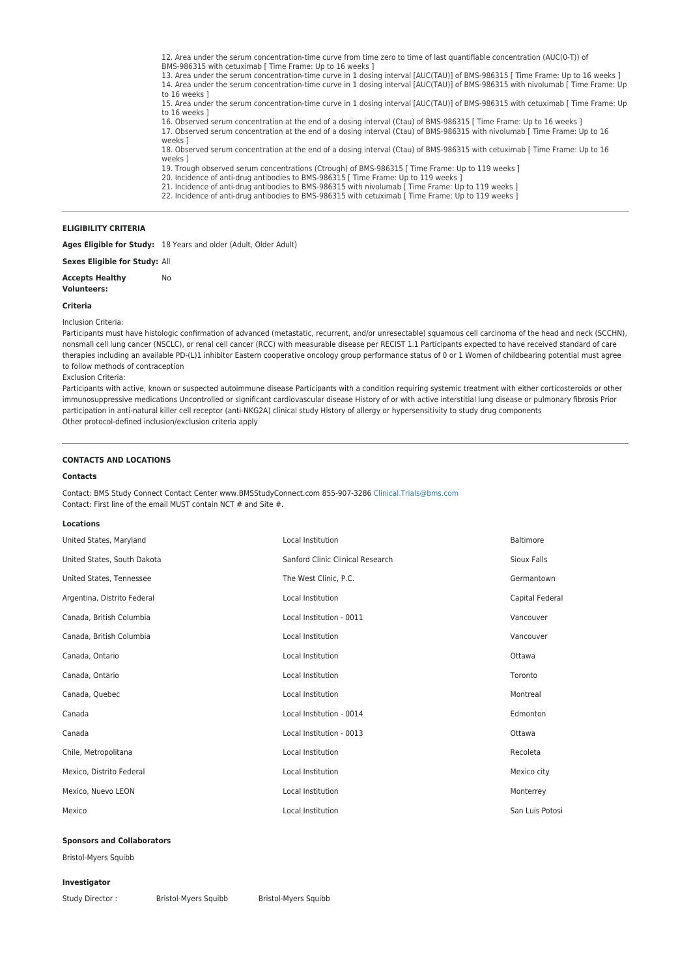12. Area under the serum concentration-time curve from time zero to time of last quantifiable concentration (AUC(0-T)) of

BMS-986315 with cetuximab [ Time Frame: Up to 16 weeks ]<br>13. Area under the serum concentration-time curve in 1 dosing interval [AUC(TAU)] of BMS-986315 [ Time Frame: Up to 16 weeks ] 14. Area under the serum concentration-time curve in 1 dosing interval [AUC(TAU)] of BMS-986315 with nivolumab [ Time Frame: Up to 16 weeks ]

15. Area under the serum concentration-time curve in 1 dosing interval [AUC(TAU)] of BMS-986315 with cetuximab [ Time Frame: Up to 16 weeks ]

16. Observed serum concentration at the end of a dosing interval (Ctau) of BMS-986315 [ Time Frame: Up to 16 weeks ] 17. Observed serum concentration at the end of a dosing interval (Ctau) of BMS-986315 with nivolumab [ Time Frame: Up to 16

weeks ] 18. Observed serum concentration at the end of a dosing interval (Ctau) of BMS-986315 with cetuximab [ Time Frame: Up to 16

- weeks ]
- 19. Trough observed serum concentrations (Ctrough) of BMS-986315 [ Time Frame: Up to 119 weeks ]
- 20. Incidence of anti-drug antibodies to BMS-986315 [ Time Frame: Up to 119 weeks ] 21. Incidence of anti-drug antibodies to BMS-986315 with nivolumab [ Time Frame: Up to 119 weeks ]
- 

22. Incidence of anti-drug antibodies to BMS-986315 with cetuximab [ Time Frame: Up to 119 weeks ]

## **ELIGIBILITY CRITERIA**

**Ages Eligible for Study:** 18 Years and older (Adult, Older Adult)

No

**Sexes Eligible for Study:** All

**Accepts Healthy**

**Volunteers:**

#### **Criteria**

Inclusion Criteria:

Participants must have histologic confirmation of advanced (metastatic, recurrent, and/or unresectable) squamous cell carcinoma of the head and neck (SCCHN), nonsmall cell lung cancer (NSCLC), or renal cell cancer (RCC) with measurable disease per RECIST 1.1 Participants expected to have received standard of care therapies including an available PD-(L)1 inhibitor Eastern cooperative oncology group performance status of 0 or 1 Women of childbearing potential must agree to follow methods of contraception

Exclusion Criteria:

Participants with active, known or suspected autoimmune disease Participants with a condition requiring systemic treatment with either corticosteroids or other immunosuppressive medications Uncontrolled or significant cardiovascular disease History of or with active interstitial lung disease or pulmonary fibrosis Prior participation in anti-natural killer cell receptor (anti-NKG2A) clinical study History of allergy or hypersensitivity to study drug components Other protocol-defined inclusion/exclusion criteria apply

## **CONTACTS AND LOCATIONS**

#### **Contacts**

Contact: BMS Study Connect Contact Center www.BMSStudyConnect.com 855-907-3286 [Clinical.Trials@bms.com](mailto:Clinical.Trials@bms.com) Contact: First line of the email MUST contain NCT # and Site #.

#### **Locations**

| United States, Maryland     | Local Institution                | Baltimore       |
|-----------------------------|----------------------------------|-----------------|
| United States, South Dakota | Sanford Clinic Clinical Research | Sioux Falls     |
| United States, Tennessee    | The West Clinic, P.C.            | Germantown      |
| Argentina, Distrito Federal | Local Institution                | Capital Federal |
| Canada, British Columbia    | Local Institution - 0011         | Vancouver       |
| Canada, British Columbia    | Local Institution                | Vancouver       |
| Canada, Ontario             | Local Institution                | Ottawa          |
| Canada, Ontario             | Local Institution                | Toronto         |
| Canada, Quebec              | Local Institution                | Montreal        |
| Canada                      | Local Institution - 0014         | Edmonton        |
| Canada                      | Local Institution - 0013         | Ottawa          |
| Chile, Metropolitana        | Local Institution                | Recoleta        |
| Mexico, Distrito Federal    | Local Institution                | Mexico city     |
| Mexico, Nuevo LEON          | Local Institution                | Monterrey       |
| Mexico                      | Local Institution                | San Luis Potosi |

#### **Sponsors and Collaborators**

Bristol-Myers Squibb

#### **Investigator**

Study Director : Bristol-Myers Squibb Bristol-Myers Squibb